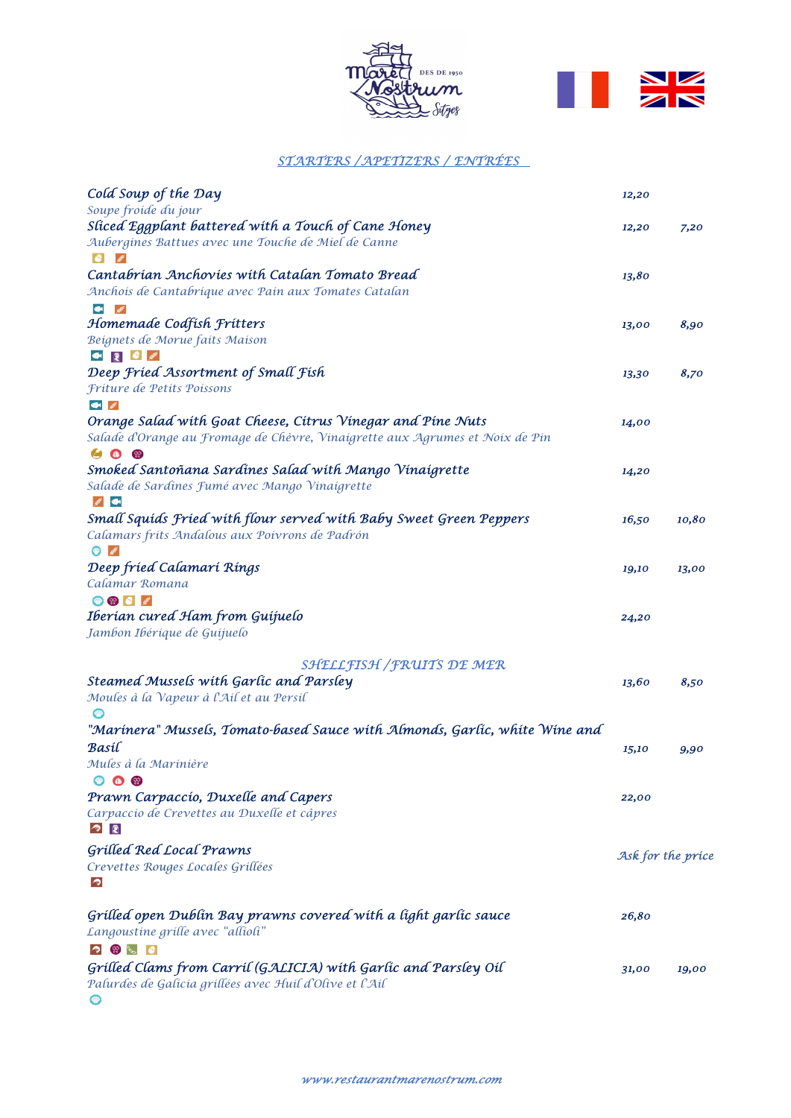



## STARTERS /APETIZERS / ENTRÉES

| Cold Soup of the Day                                                         | 12,20             |       |
|------------------------------------------------------------------------------|-------------------|-------|
| Soupe froide du jour                                                         |                   |       |
| Sliced Eggplant battered with a Touch of Cane Honey                          | 12,20             | 7,20  |
| Aubergines Battues avec une Touche de Miel de Canne                          |                   |       |
| Cantabrían Anchovíes wíth Catalan Tomato Bread                               | 13,80             |       |
| Anchois de Cantabrique avec Pain aux Tomates Catalan                         |                   |       |
| $\bullet$                                                                    |                   |       |
| Homemade Codfísh Frítters                                                    | 13,00             | 8,90  |
| Beignets de Morue faits Maison                                               |                   |       |
| ● 【 】 ● 《                                                                    |                   |       |
| Deep Fried Assortment of Small Fish                                          | 13,30             | 8,70  |
| Friture de Petits Poissons                                                   |                   |       |
| <b>SOME ASSES</b>                                                            |                   |       |
| Orange Salad with Goat Cheese, Citrus Vinegar and Pine Nuts                  | 14,00             |       |
| Salade d'Orange au Fromage de Chèvre, Vinaigrette aux Agrumes et Noix de Pin |                   |       |
| <b>SO</b><br>42                                                              |                   |       |
| Smoked Santoñana Sardínes Salad with Mango Vinaigrette                       | 14,20             |       |
| Salade de Sardines Fumé avec Mango Vinaigrette<br><b>Allege Canada</b>       |                   |       |
| Small Squíds Fríed with flour served with Baby Sweet Green Peppers           | 16,50             | 10,80 |
| Calamars frits Andalous aux Poivrons de Padrón<br><b>CONTROL</b>             |                   |       |
| Deep fríed Calamarí Ríngs                                                    | 19,10             | 13,00 |
| Calamar Romana                                                               |                   |       |
| <b>OB</b> C                                                                  |                   |       |
| Iberían cured Ham from Guíjuelo                                              | 24,20             |       |
| Jambon Ibéríque de Guijuelo                                                  |                   |       |
| SHELLFISH / FRUITS DE MER                                                    |                   |       |
| Steamed Mussels with Garlic and Parsley                                      | 13,60             | 8,50  |
| Moules à la Vapeur à l'Ail et au Persil                                      |                   |       |
| "Marínera" Mussels, Tomato-based Sauce wíth Almonds, Garlíc, whíte Wíne and  |                   |       |
| Basíl                                                                        | 15,10             | 9,90  |
| Mules à la Marinière                                                         |                   |       |
| $\bullet$ $\bullet$                                                          |                   |       |
| Prawn Carpaccio, Duxelle and Capers                                          | 22,00             |       |
| Carpaccio de Crevettes au Duxelle et câpres                                  |                   |       |
| ◆ 園                                                                          |                   |       |
| <b>Grilled Red Local Prawns</b>                                              | Ask for the price |       |
| Crevettes Rouges Locales Grillées                                            |                   |       |
| ◚                                                                            |                   |       |
| Grilled open Dublin Bay prawns covered with a light garlic sauce             | 26,80             |       |
| Langoustine grille avec "allioli"                                            |                   |       |
| $\bullet$                                                                    |                   |       |
| Grilled Clams from Carril (GALICIA) with Garlic and Parsley Oil              | 31,00             | 19,00 |
| Palurdes de Galicia grillées avec Huil d'Olive et l'Ail                      |                   |       |
|                                                                              |                   |       |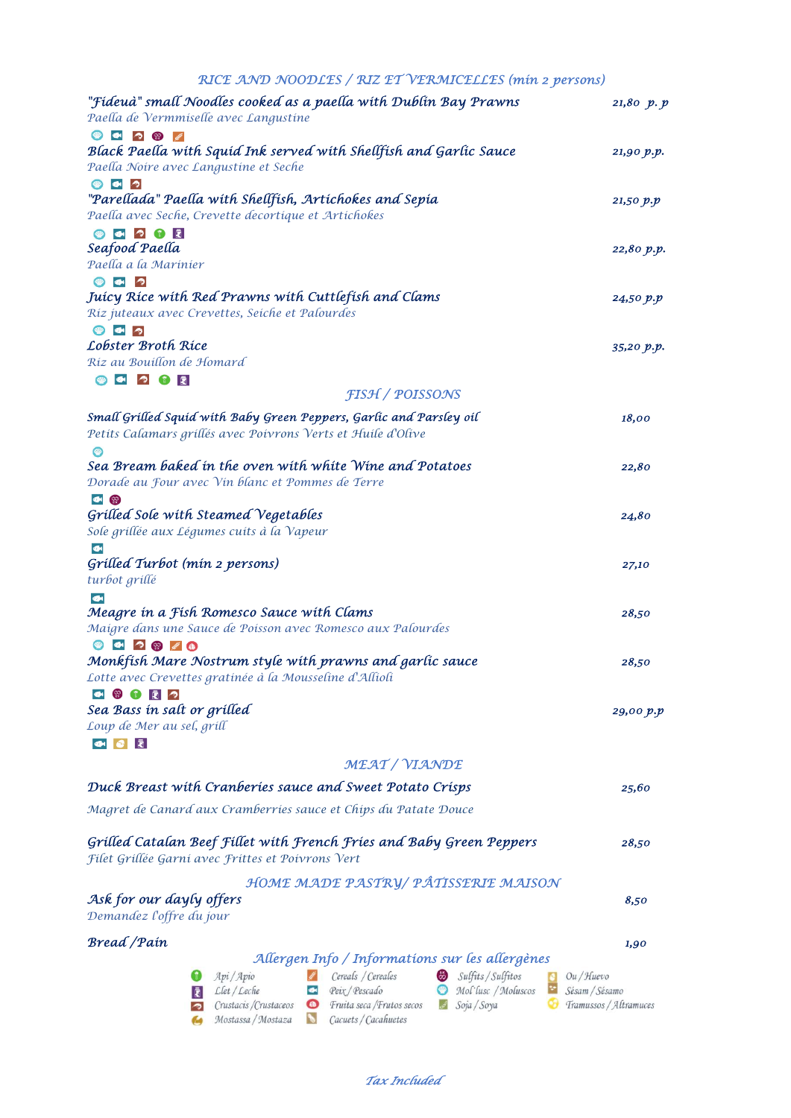| RICE AND NOODLES / RIZ ET VERMICELLES (mín 2 persons) |  |
|-------------------------------------------------------|--|
|-------------------------------------------------------|--|

| "Fídeuà" small Noodles cooked as a paella with Dublin Bay Prawns<br>Paella de Vermmiselle avec Langustine                                                       | 21,80 p.p  |
|-----------------------------------------------------------------------------------------------------------------------------------------------------------------|------------|
| $\bullet$ $\bullet$ $\bullet$ $\bullet$                                                                                                                         |            |
| Black Paella with Squid Ink served with Shellfish and Garlic Sauce                                                                                              | 21,90 p.p. |
| Paella Noire avec Langustine et Seche                                                                                                                           |            |
| $\bullet$ $\bullet$<br>$\bullet$                                                                                                                                |            |
| "Parellada" Paella with Shellfish, Artichokes and Sepia                                                                                                         | 21,50 p.p  |
| Paella avec Seche, Crevette decortique et Artichokes                                                                                                            |            |
| 00000<br>Seafood Paella                                                                                                                                         |            |
| Paella a la Marinier                                                                                                                                            | 22,80 p.p. |
| $\bullet$ $\bullet$ $\circ$                                                                                                                                     |            |
| Juícy Ríce with Red Prawns with Cuttlefish and Clams                                                                                                            | 24,50 p.p  |
| Riz juteaux avec Crevettes, Seiche et Palourdes                                                                                                                 |            |
| $\bullet$ $\bullet$<br>$\bigcirc$                                                                                                                               |            |
| Lobster Broth Rice                                                                                                                                              | 35,20 p.p. |
| Riz au Bouillon de Homard                                                                                                                                       |            |
|                                                                                                                                                                 |            |
| <b>FISH / POISSONS</b>                                                                                                                                          |            |
| Small Grilled Squid with Baby Green Peppers, Garlic and Parsley oil<br>Petits Calamars grillés avec Poivrons Verts et Huile d'Olive                             | 18,00      |
|                                                                                                                                                                 |            |
| Sea Bream baked in the oven with white Wine and Potatoes                                                                                                        | 22,80      |
| Dorade au Four avec Vin blanc et Pommes de Terre                                                                                                                |            |
| 1 (2)                                                                                                                                                           |            |
| Grilled Sole with Steamed Vegetables                                                                                                                            | 24,80      |
| Sole grillée aux Légumes cuits à la Vapeur                                                                                                                      |            |
|                                                                                                                                                                 |            |
| Grilled Turbot (min 2 persons)                                                                                                                                  | 27,10      |
| turbot grillé                                                                                                                                                   |            |
| $\bullet$<br>Meagre in a Fish Romesco Sauce with Clams                                                                                                          | 28,50      |
| Maigre dans une Sauce de Poisson avec Romesco aux Palourdes                                                                                                     |            |
| 000000                                                                                                                                                          |            |
| Monkfish Mare Nostrum style with prawns and garlic sauce                                                                                                        | 28,50      |
| Lotte avec Crevettes gratinée à la Mousseline d'Allioli                                                                                                         |            |
| $\circledcirc$ $\circledcirc$ $\circledcirc$<br>$\bullet$                                                                                                       |            |
| Sea Bass in salt or grilled                                                                                                                                     | 29,00 p.p  |
| Loup de Mer au sel, grill                                                                                                                                       |            |
| $\bullet$ $\bullet$<br>園                                                                                                                                        |            |
| MEAT / VIANDE                                                                                                                                                   |            |
| Duck Breast with Cranberies sauce and Sweet Potato Crisps                                                                                                       |            |
|                                                                                                                                                                 | 25,60      |
| Magret de Canard aux Cramberries sauce et Chips du Patate Douce                                                                                                 |            |
| Grilled Catalan Beef Fillet with French Fries and Baby Green Peppers<br>Filet Grillée Garni avec Frittes et Poivrons Vert                                       | 28,50      |
|                                                                                                                                                                 |            |
| HOME MADE PASTRY/ PÂTISSERIE MAISON                                                                                                                             |            |
| Ask for our dayly offers                                                                                                                                        | 8,50       |
| Demandez l'offre du jour                                                                                                                                        |            |
| <b>Bread</b> / Pain                                                                                                                                             | 1,90       |
| Allergen Info / Informations sur les allergènes                                                                                                                 |            |
| Sulfits / Sulfitos<br>Cereals / Cereales<br>Api/Apio<br>Ou / Huevo                                                                                              |            |
| Mol'lusc / Moluscos<br>Sésam / Sésamo<br>$\mathcal{L}$ let / $\mathcal{L}$ eche<br>Peix / Pescado<br>$\bullet$<br>Ē                                             |            |
| Soja / Soya<br>Crustacis /Crustaceos<br>$\bullet$<br>Fruita seca / Frutos secos<br>Tramussos / Altramuces<br>أتحق<br>Mostassa / Mostaza<br>Cacuets / Cacahuetes |            |

Tax Included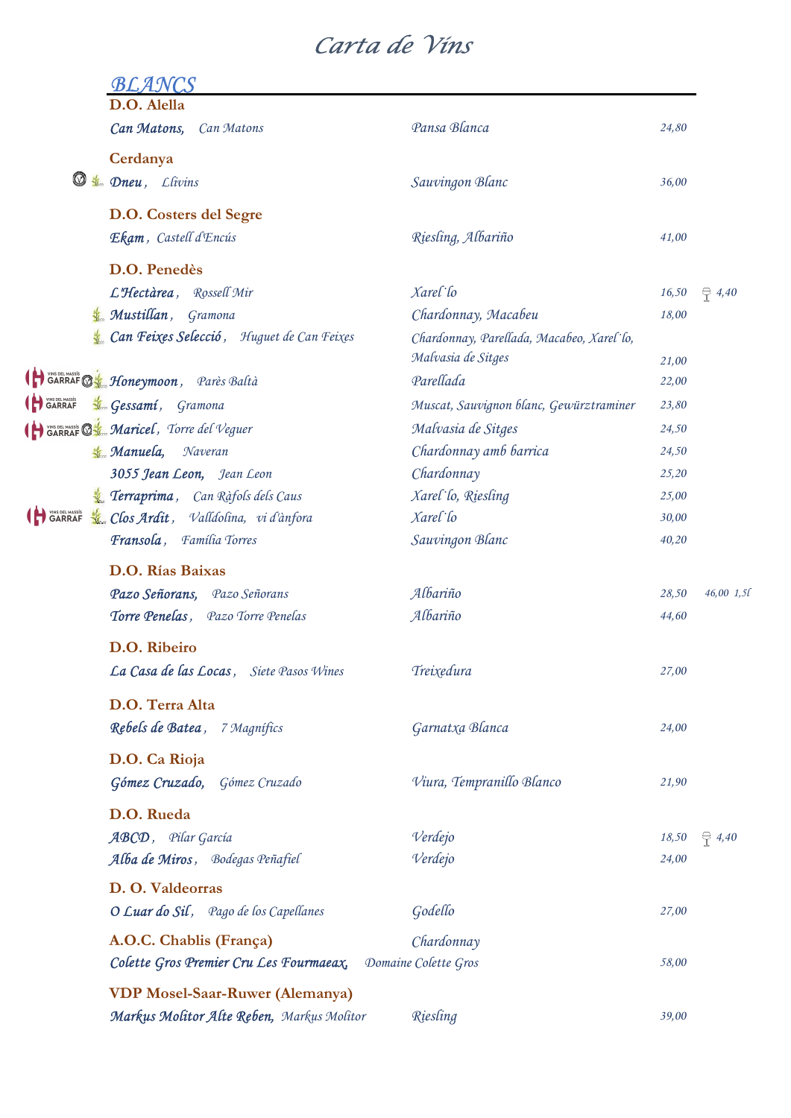## Carta de Vins

|                           | <i>BLANCS</i>                             |                                                                 |       |                 |
|---------------------------|-------------------------------------------|-----------------------------------------------------------------|-------|-----------------|
|                           | D.O. Alella<br>Can Matons,<br>Can Matons  | Pansa Blanca                                                    | 24,80 |                 |
|                           | Cerdanya                                  |                                                                 |       |                 |
| Ø                         | <b><i>Livins</i></b> Dneu, Llivins        | Sauvingon Blanc                                                 | 36,00 |                 |
|                           | D.O. Costers del Segre                    |                                                                 |       |                 |
|                           | Ekam, Castell d'Encús                     | Riesling, Albariño                                              | 41,00 |                 |
|                           | D.O. Penedès                              |                                                                 |       |                 |
|                           | L'Hectàrea, Rossell Mir                   | Xarel lo                                                        | 16,50 | $\oplus$ 4,40   |
|                           | Mustillan, Gramona                        | Chardonnay, Macabeu                                             | 18,00 |                 |
|                           | Can Feixes Selecció, Huguet de Can Feixes | Chardonnay, Parellada, Macabeo, Xarel lo,<br>Malvasia de Sitges | 21,00 |                 |
|                           | SARRAF D'En Honeymoon, Pares Baltà        | Parellada                                                       | 22,00 |                 |
| <b>A</b> VINS DEL MASSÍS  | <b>Kon</b> Gessamí, Gramona               | Muscat, Sauvignon blanc, Gewürztraminer                         | 23,80 |                 |
|                           | GARRAF & Maricel, Torre del Veguer        | Malvasia de Sitges                                              | 24,50 |                 |
|                           | <b>K.</b> Manuela,<br>Naveran             | Chardonnay amb barrica                                          | 24,50 |                 |
|                           | 3055 Jean Leon, Jean Leon                 | Chardonnay                                                      | 25,20 |                 |
|                           | Terraprima, Can Ràfols dels Caus          | Xarel lo, Riesling                                              | 25,00 |                 |
| VINS DEL MASSÍS<br>GARRAF | Clos Ardit, Valldolina, vi d'ànfora       | Xarel lo                                                        | 30,00 |                 |
|                           | Fransola, Família Torres                  | Sauvingon Blanc                                                 | 40,20 |                 |
|                           | D.O. Rías Baixas                          |                                                                 |       |                 |
|                           | Pazo Señorans, Pazo Señorans              | Albariño                                                        | 28,50 | 46,00 1,5       |
|                           | Torre Penelas, Pazo Torre Penelas         | Albariño                                                        | 44,60 |                 |
|                           |                                           |                                                                 |       |                 |
|                           | D.O. Ribeiro                              |                                                                 |       |                 |
|                           | La Casa de las Locas, Siete Pasos Wines   | Treixedura                                                      | 27,00 |                 |
|                           | D.O. Terra Alta                           |                                                                 |       |                 |
|                           | Rebels de Batea, 7 Magnífics              | Garnatxa Blanca                                                 | 24,00 |                 |
|                           | D.O. Ca Rioja                             |                                                                 |       |                 |
|                           | Gómez Cruzado, Gómez Cruzado              | Viura, Tempranillo Blanco                                       | 21,90 |                 |
|                           | D.O. Rueda                                |                                                                 |       |                 |
|                           | ABCD, Pilar García                        | Verdejo                                                         | 18,50 | $\bigcirc$ 4,40 |
|                           | Alba de Miros, Bodegas Peñafiel           | Verdejo                                                         | 24,00 |                 |
|                           | D. O. Valdeorras                          |                                                                 |       |                 |
|                           | O Luar do Sil, Pago de los Capellanes     | Godello                                                         | 27,00 |                 |
|                           | A.O.C. Chablis (França)                   | Chardonnay                                                      |       |                 |
|                           | Colette Gros Premier Cru Les Fourmaeax,   | Domaine Colette Gros                                            | 58,00 |                 |
|                           | <b>VDP Mosel-Saar-Ruwer (Alemanya)</b>    |                                                                 |       |                 |
|                           | Markus Molitor Alte Reben, Markus Molitor | Riesling                                                        | 39,00 |                 |
|                           |                                           |                                                                 |       |                 |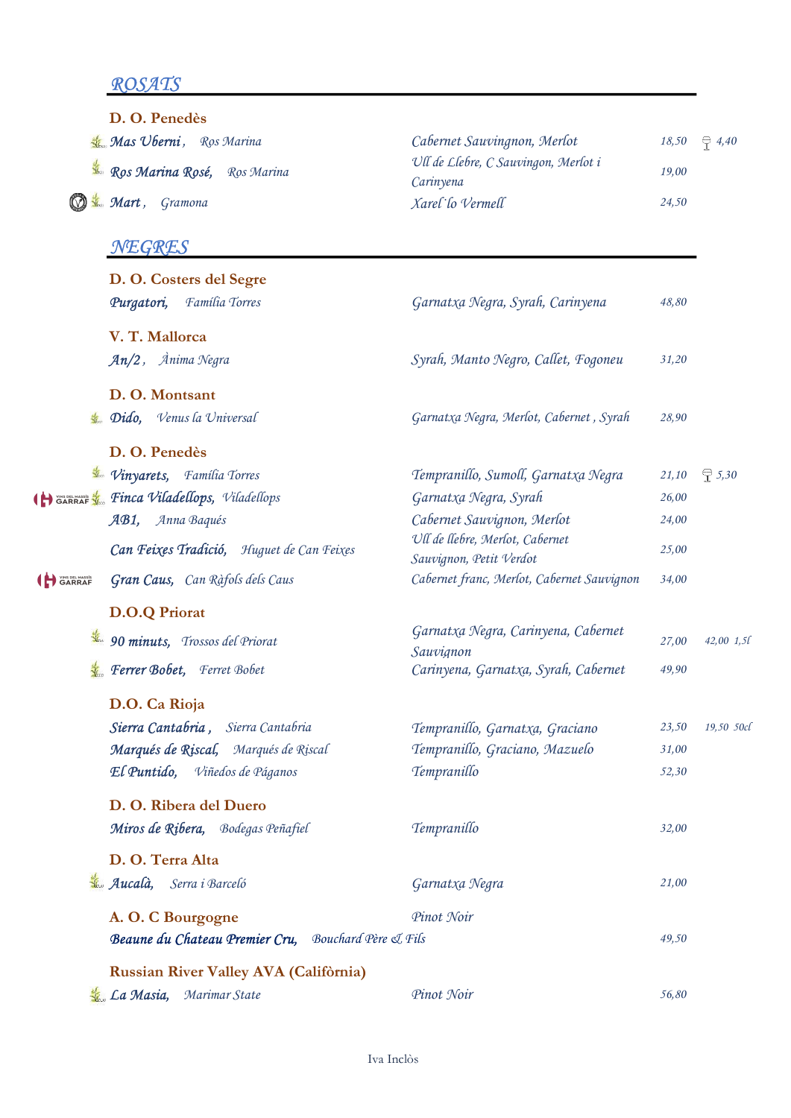## ROSATS

|                  | D. O. Penedès                                        |                                                            |       |                 |
|------------------|------------------------------------------------------|------------------------------------------------------------|-------|-----------------|
|                  | Mas Uberni, Ros Marina                               | Cabernet Sauvingnon, Merlot                                | 18,50 | $\oplus$ 4,40   |
|                  | Ros Marina Rosé, Ros Marina                          | Ull de Llebre, C Sauvingon, Merlot i<br>Carinyena          | 19,00 |                 |
|                  | <b>K.</b> Mart, Gramona                              | Xarel lo Vermell                                           | 24,50 |                 |
|                  | NEGRES                                               |                                                            |       |                 |
|                  | D. O. Costers del Segre                              |                                                            |       |                 |
|                  | Família Torres<br>Purgatori,                         | Garnatxa Negra, Syrah, Carinyena                           | 48,80 |                 |
|                  | V. T. Mallorca                                       |                                                            |       |                 |
|                  | $An/2$ , $\hat{A}$ nima Negra                        | Syrah, Manto Negro, Callet, Fogoneu                        | 31,20 |                 |
|                  | D.O. Montsant                                        |                                                            |       |                 |
|                  | <b>L.</b> Dido, Venus la Universal                   | Garnatxa Negra, Merlot, Cabernet, Syrah                    | 28,90 |                 |
|                  | D. O. Penedès                                        |                                                            |       |                 |
|                  | <i>Vinyarets</i> , <i>Família Torres</i>             | Tempranillo, Sumoll, Garnatxa Negra                        | 21,10 | $\bigcirc$ 5,30 |
|                  | (H) WAS DIR MASS & SE TINCA Viladellops, Viladellops | Garnatxa Negra, Syrah                                      | 26,00 |                 |
|                  | AB1, Anna Baqués                                     | Cabernet Sauvignon, Merlot                                 | 24,00 |                 |
|                  | Can Feixes Tradició, Huguet de Can Feixes            | Ull de llebre, Merlot, Cabernet<br>Sauvignon, Petit Verdot | 25,00 |                 |
| <b>ID</b> GARRAF | Gran Caus, Can Ràfols dels Caus                      | Cabernet franc, Merlot, Cabernet Sauvignon                 | 34,00 |                 |
|                  | <b>D.O.Q Priorat</b>                                 |                                                            |       |                 |
|                  | 30 minuts, Trossos del Priorat                       | Garnatxa Negra, Carinyena, Cabernet                        | 27,00 | 42,00 1,5l      |
|                  | <b>Ferrer Bobet</b> , Ferret Bobet                   | Sauvignon<br>Carinyena, Garnatxa, Syrah, Cabernet          |       |                 |
|                  |                                                      |                                                            | 49,90 |                 |
|                  | D.O. Ca Rioja                                        |                                                            |       |                 |
|                  | Sierra Cantabria, Sierra Cantabria                   | Tempranillo, Garnatxa, Graciano                            | 23,50 | 19,50 50cl      |
|                  | Marqués de Riscal, Marqués de Riscal                 | Tempranillo, Graciano, Mazuelo                             | 31,00 |                 |
|                  | El Puntido, Viñedos de Páganos                       | Tempranillo                                                | 52,30 |                 |
|                  | D. O. Ribera del Duero                               |                                                            |       |                 |
|                  | Miros de Ribera, Bodegas Peñafiel                    | Tempranillo                                                | 32,00 |                 |
|                  | D. O. Terra Alta                                     |                                                            |       |                 |
|                  | Aucalà, Serra i Barceló                              | Garnatxa Negra                                             | 21,00 |                 |
|                  | A. O. C Bourgogne                                    | Pinot Noir                                                 |       |                 |
|                  | Beaune du Chateau Premier Cru, Bouchard Père & Fils  |                                                            | 49,50 |                 |
|                  | Russian River Valley AVA (Califòrnia)                |                                                            |       |                 |
|                  | La Masia,<br>Marimar State                           | Pinot Noir                                                 | 56,80 |                 |